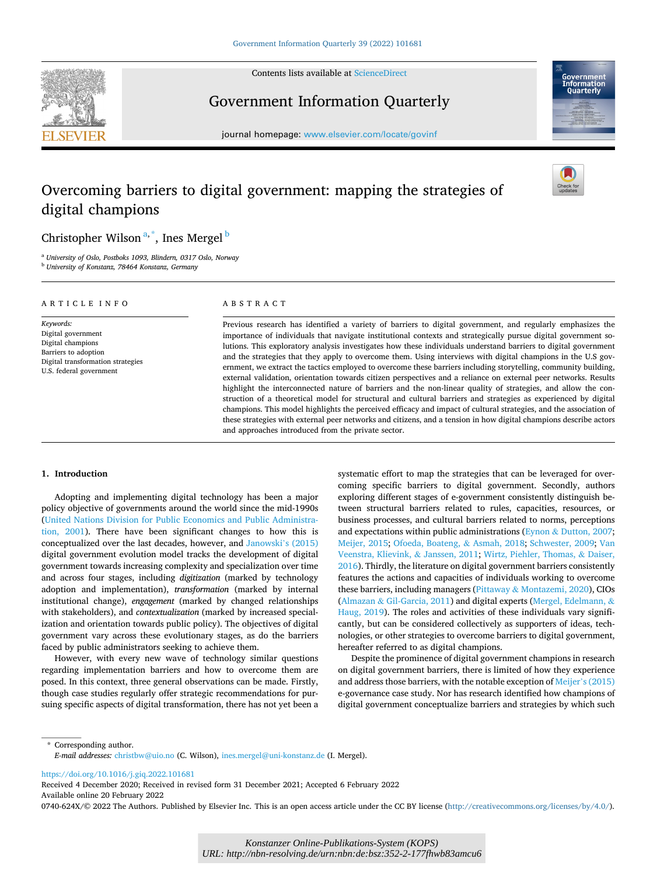

Contents lists available at [ScienceDirect](www.sciencedirect.com/science/journal/0740624X)

# Government Information Quarterly



journal homepage: [www.elsevier.com/locate/govinf](https://www.elsevier.com/locate/govinf)

# Overcoming barriers to digital government: mapping the strategies of digital champions



## Christopher Wilson<sup>a,\*</sup>, Ines Mergel <sup>b</sup>

<sup>a</sup> *University of Oslo, Postboks 1093, Blindern, 0317 Oslo, Norway* <sup>b</sup> *University of Konstanz, 78464 Konstanz, Germany* 

| ARTICLE INFO                                                                                                                                 | ABSTRACT                                                                                                                                                                                                                                                                                                                                                                                                                                                                                                                                                                                                                                                                                                                                                                                                                                                                                                                                                                                                                                                                                                                                                                          |
|----------------------------------------------------------------------------------------------------------------------------------------------|-----------------------------------------------------------------------------------------------------------------------------------------------------------------------------------------------------------------------------------------------------------------------------------------------------------------------------------------------------------------------------------------------------------------------------------------------------------------------------------------------------------------------------------------------------------------------------------------------------------------------------------------------------------------------------------------------------------------------------------------------------------------------------------------------------------------------------------------------------------------------------------------------------------------------------------------------------------------------------------------------------------------------------------------------------------------------------------------------------------------------------------------------------------------------------------|
| Keywords:<br>Digital government<br>Digital champions<br>Barriers to adoption<br>Digital transformation strategies<br>U.S. federal government | Previous research has identified a variety of barriers to digital government, and regularly emphasizes the<br>importance of individuals that navigate institutional contexts and strategically pursue digital government so-<br>lutions. This exploratory analysis investigates how these individuals understand barriers to digital government<br>and the strategies that they apply to overcome them. Using interviews with digital champions in the U.S gov-<br>ernment, we extract the tactics employed to overcome these barriers including storytelling, community building,<br>external validation, orientation towards citizen perspectives and a reliance on external peer networks. Results<br>highlight the interconnected nature of barriers and the non-linear quality of strategies, and allow the con-<br>struction of a theoretical model for structural and cultural barriers and strategies as experienced by digital<br>champions. This model highlights the perceived efficacy and impact of cultural strategies, and the association of<br>these strategies with external peer networks and citizens, and a tension in how digital champions describe actors |

and approaches introduced from the private sector.

### **1. Introduction**

Adopting and implementing digital technology has been a major policy objective of governments around the world since the mid-1990s ([United Nations Division for Public Economics and Public Administra](#page-12-0)[tion, 2001](#page-12-0)). There have been significant changes to how this is conceptualized over the last decades, however, and [Janowski](#page-11-0)'s (2015) digital government evolution model tracks the development of digital government towards increasing complexity and specialization over time and across four stages, including *digitization* (marked by technology adoption and implementation), *transformation* (marked by internal institutional change), *engagement* (marked by changed relationships with stakeholders), and *contextualization* (marked by increased specialization and orientation towards public policy). The objectives of digital government vary across these evolutionary stages, as do the barriers faced by public administrators seeking to achieve them.

However, with every new wave of technology similar questions regarding implementation barriers and how to overcome them are posed. In this context, three general observations can be made. Firstly, though case studies regularly offer strategic recommendations for pursuing specific aspects of digital transformation, there has not yet been a systematic effort to map the strategies that can be leveraged for overcoming specific barriers to digital government. Secondly, authors exploring different stages of e-government consistently distinguish between structural barriers related to rules, capacities, resources, or business processes, and cultural barriers related to norms, perceptions and expectations within public administrations (Eynon & [Dutton, 2007](#page-11-0); [Meijer, 2015](#page-11-0); [Ofoeda, Boateng,](#page-11-0) & Asmah, 2018; [Schwester, 2009;](#page-11-0) [Van](#page-12-0)  [Veenstra, Klievink,](#page-12-0) & Janssen, 2011; [Wirtz, Piehler, Thomas,](#page-12-0) & Daiser, [2016\)](#page-12-0). Thirdly, the literature on digital government barriers consistently features the actions and capacities of individuals working to overcome these barriers, including managers (Pittaway & [Montazemi, 2020\)](#page-11-0), CIOs (Almazan & [Gil-Garcia, 2011](#page-10-0)) and digital experts [\(Mergel, Edelmann,](#page-11-0) & [Haug, 2019](#page-11-0)). The roles and activities of these individuals vary significantly, but can be considered collectively as supporters of ideas, technologies, or other strategies to overcome barriers to digital government, hereafter referred to as digital champions.

Despite the prominence of digital government champions in research on digital government barriers, there is limited of how they experience and address those barriers, with the notable exception of Meijer'[s \(2015\)](#page-11-0)  e-governance case study. Nor has research identified how champions of digital government conceptualize barriers and strategies by which such

\* Corresponding author. *E-mail addresses:* [christbw@uio.no](mailto:christbw@uio.no) (C. Wilson), [ines.mergel@uni-konstanz.de](mailto:ines.mergel@uni-konstanz.de) (I. Mergel).

<https://doi.org/10.1016/j.giq.2022.101681>

Available online 20 February 2022 Received 4 December 2020; Received in revised form 31 December 2021; Accepted 6 February 2022

0740-624X/© 2022 The Authors. Published by Elsevier Inc. This is an open access article under the CC BY license [\(http://creativecommons.org/licenses/by/4.0/\)](http://creativecommons.org/licenses/by/4.0/).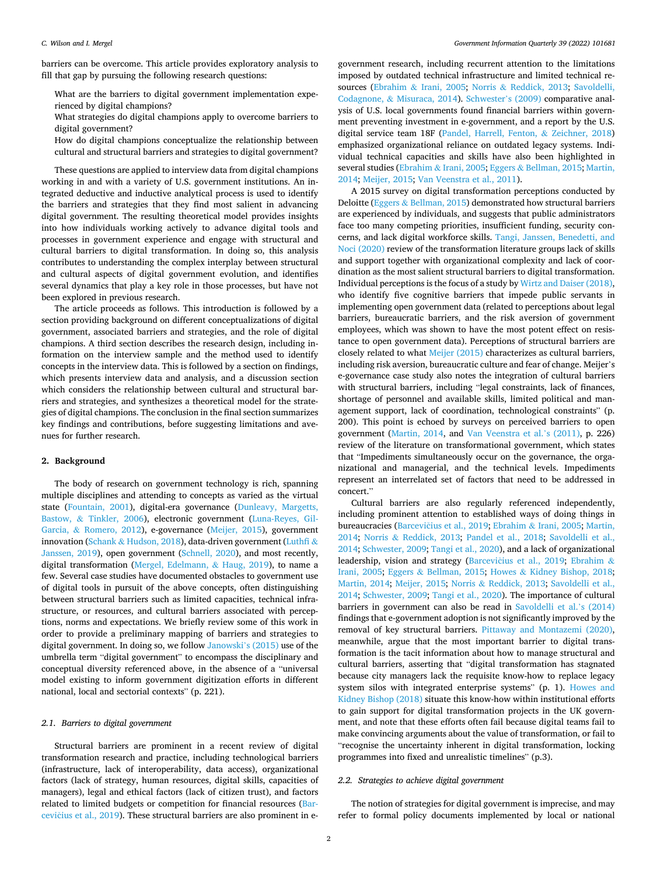barriers can be overcome. This article provides exploratory analysis to fill that gap by pursuing the following research questions:

What are the barriers to digital government implementation experienced by digital champions?

What strategies do digital champions apply to overcome barriers to digital government?

How do digital champions conceptualize the relationship between cultural and structural barriers and strategies to digital government?

These questions are applied to interview data from digital champions working in and with a variety of U.S. government institutions. An integrated deductive and inductive analytical process is used to identify the barriers and strategies that they find most salient in advancing digital government. The resulting theoretical model provides insights into how individuals working actively to advance digital tools and processes in government experience and engage with structural and cultural barriers to digital transformation. In doing so, this analysis contributes to understanding the complex interplay between structural and cultural aspects of digital government evolution, and identifies several dynamics that play a key role in those processes, but have not been explored in previous research.

The article proceeds as follows. This introduction is followed by a section providing background on different conceptualizations of digital government, associated barriers and strategies, and the role of digital champions. A third section describes the research design, including information on the interview sample and the method used to identify concepts in the interview data. This is followed by a section on findings, which presents interview data and analysis, and a discussion section which considers the relationship between cultural and structural barriers and strategies, and synthesizes a theoretical model for the strategies of digital champions. The conclusion in the final section summarizes key findings and contributions, before suggesting limitations and avenues for further research.

### **2. Background**

The body of research on government technology is rich, spanning multiple disciplines and attending to concepts as varied as the virtual state ([Fountain, 2001\)](#page-11-0), digital-era governance ([Dunleavy, Margetts,](#page-11-0)  Bastow, & [Tinkler, 2006](#page-11-0)), electronic government ([Luna-Reyes, Gil-](#page-11-0)Garcia, & [Romero, 2012](#page-11-0)), e-governance ([Meijer, 2015](#page-11-0)), government innovation (Schank & [Hudson, 2018\)](#page-11-0), data-driven government ([Luthfi](#page-11-0) & [Janssen, 2019](#page-11-0)), open government ([Schnell, 2020\)](#page-11-0), and most recently, digital transformation ([Mergel, Edelmann,](#page-11-0) & Haug, 2019), to name a few. Several case studies have documented obstacles to government use of digital tools in pursuit of the above concepts, often distinguishing between structural barriers such as limited capacities, technical infrastructure, or resources, and cultural barriers associated with perceptions, norms and expectations. We briefly review some of this work in order to provide a preliminary mapping of barriers and strategies to digital government. In doing so, we follow [Janowski](#page-11-0)'s (2015) use of the umbrella term "digital government" to encompass the disciplinary and conceptual diversity referenced above, in the absence of a "universal model existing to inform government digitization efforts in different national, local and sectorial contexts" (p. 221).

### *2.1. Barriers to digital government*

Structural barriers are prominent in a recent review of digital transformation research and practice, including technological barriers (infrastructure, lack of interoperability, data access), organizational factors (lack of strategy, human resources, digital skills, capacities of managers), legal and ethical factors (lack of citizen trust), and factors related to limited budgets or competition for financial resources [\(Bar](#page-10-0)cevičius et al., 2019). These structural barriers are also prominent in egovernment research, including recurrent attention to the limitations imposed by outdated technical infrastructure and limited technical resources (Ebrahim & [Irani, 2005](#page-11-0); Norris & [Reddick, 2013](#page-11-0); [Savoldelli,](#page-11-0)  Codagnone, & [Misuraca, 2014\)](#page-11-0). [Schwester](#page-11-0)'s (2009) comparative analysis of U.S. local governments found financial barriers within government preventing investment in e-government, and a report by the U.S. digital service team 18F ([Pandel, Harrell, Fenton,](#page-11-0) & Zeichner, 2018) emphasized organizational reliance on outdated legacy systems. Individual technical capacities and skills have also been highlighted in several studies (Ebrahim & [Irani, 2005](#page-11-0); Eggers & [Bellman, 2015; Martin,](#page-11-0)  [2014; Meijer, 2015](#page-11-0); [Van Veenstra et al., 2011\)](#page-12-0).

A 2015 survey on digital transformation perceptions conducted by Deloitte (Eggers & [Bellman, 2015\)](#page-11-0) demonstrated how structural barriers are experienced by individuals, and suggests that public administrators face too many competing priorities, insufficient funding, security concerns, and lack digital workforce skills. [Tangi, Janssen, Benedetti, and](#page-12-0)  [Noci \(2020\)](#page-12-0) review of the transformation literature groups lack of skills and support together with organizational complexity and lack of coordination as the most salient structural barriers to digital transformation. Individual perceptions is the focus of a study by [Wirtz and Daiser \(2018\)](#page-12-0), who identify five cognitive barriers that impede public servants in implementing open government data (related to perceptions about legal barriers, bureaucratic barriers, and the risk aversion of government employees, which was shown to have the most potent effect on resistance to open government data). Perceptions of structural barriers are closely related to what [Meijer \(2015\)](#page-11-0) characterizes as cultural barriers, including risk aversion, bureaucratic culture and fear of change. Meijer's e-governance case study also notes the integration of cultural barriers with structural barriers, including "legal constraints, lack of finances, shortage of personnel and available skills, limited political and management support, lack of coordination, technological constraints" (p. 200). This point is echoed by surveys on perceived barriers to open government ([Martin, 2014](#page-11-0), and [Van Veenstra et al.](#page-12-0)'s (2011), p. 226) review of the literature on transformational government, which states that "Impediments simultaneously occur on the governance, the organizational and managerial, and the technical levels. Impediments represent an interrelated set of factors that need to be addressed in concert."

Cultural barriers are also regularly referenced independently, including prominent attention to established ways of doing things in bureaucracies (Barcevičius et al., 2019; Ebrahim & [Irani, 2005](#page-11-0); Martin, [2014;](#page-11-0) Norris & [Reddick, 2013](#page-11-0); [Pandel et al., 2018;](#page-11-0) [Savoldelli et al.,](#page-11-0)  [2014; Schwester, 2009;](#page-11-0) [Tangi et al., 2020\)](#page-12-0), and a lack of organizational leadership, vision and strategy (Barcevičius et al., 2019; [Ebrahim](#page-11-0) & [Irani, 2005;](#page-11-0) Eggers & [Bellman, 2015](#page-11-0); Howes & [Kidney Bishop, 2018](#page-11-0); [Martin, 2014](#page-11-0); [Meijer, 2015](#page-11-0); Norris & [Reddick, 2013;](#page-11-0) [Savoldelli et al.,](#page-11-0)  [2014; Schwester, 2009](#page-11-0); [Tangi et al., 2020\)](#page-12-0). The importance of cultural barriers in government can also be read in [Savoldelli et al.](#page-11-0)'s (2014) findings that e-government adoption is not significantly improved by the removal of key structural barriers. [Pittaway and Montazemi \(2020\)](#page-11-0), meanwhile, argue that the most important barrier to digital transformation is the tacit information about how to manage structural and cultural barriers, asserting that "digital transformation has stagnated because city managers lack the requisite know-how to replace legacy system silos with integrated enterprise systems" (p. 1). [Howes and](#page-11-0)  [Kidney Bishop \(2018\)](#page-11-0) situate this know-how within institutional efforts to gain support for digital transformation projects in the UK government, and note that these efforts often fail because digital teams fail to make convincing arguments about the value of transformation, or fail to "recognise the uncertainty inherent in digital transformation, locking programmes into fixed and unrealistic timelines" (p.3).

### *2.2. Strategies to achieve digital government*

The notion of strategies for digital government is imprecise, and may refer to formal policy documents implemented by local or national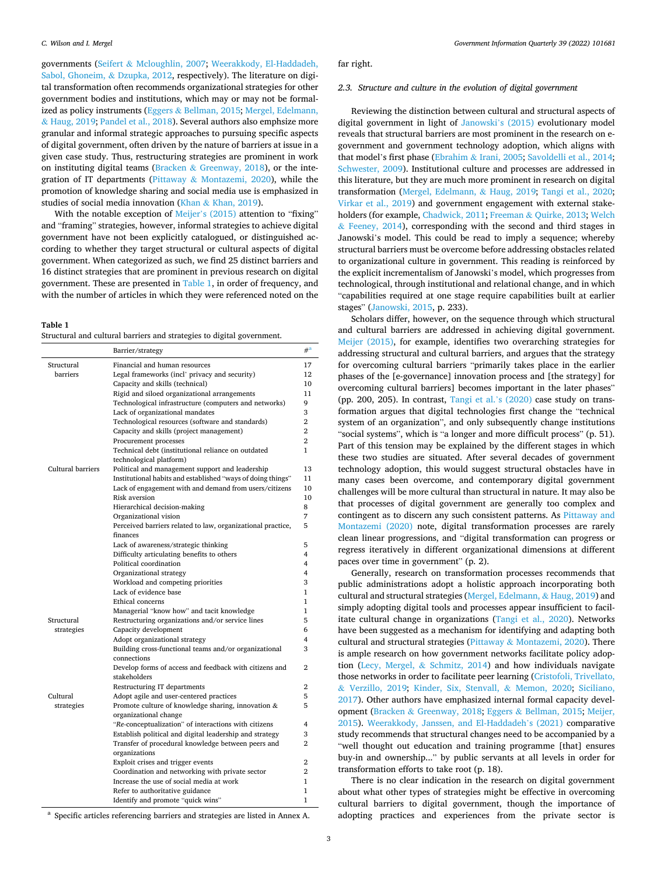<span id="page-2-0"></span>governments (Seifert & [Mcloughlin, 2007;](#page-11-0) [Weerakkody, El-Haddadeh,](#page-12-0)  [Sabol, Ghoneim,](#page-12-0) & Dzupka, 2012, respectively). The literature on digital transformation often recommends organizational strategies for other government bodies and institutions, which may or may not be formalized as policy instruments (Eggers & [Bellman, 2015](#page-11-0); [Mergel, Edelmann,](#page-11-0)  & [Haug, 2019; Pandel et al., 2018](#page-11-0)). Several authors also emphsize more granular and informal strategic approaches to pursuing specific aspects of digital government, often driven by the nature of barriers at issue in a given case study. Thus, restructuring strategies are prominent in work on instituting digital teams (Bracken & [Greenway, 2018\)](#page-11-0), or the integration of IT departments (Pittaway & [Montazemi, 2020\)](#page-11-0), while the promotion of knowledge sharing and social media use is emphasized in studies of social media innovation (Khan & [Khan, 2019\)](#page-11-0).

With the notable exception of Meijer'[s \(2015\)](#page-11-0) attention to "fixing" and "framing" strategies, however, informal strategies to achieve digital government have not been explicitly catalogued, or distinguished according to whether they target structural or cultural aspects of digital government. When categorized as such, we find 25 distinct barriers and 16 distinct strategies that are prominent in previous research on digital government. These are presented in Table 1, in order of frequency, and with the number of articles in which they were referenced noted on the

#### **Table 1**

Structural and cultural barriers and strategies to digital government.

|                   | Barrier/strategy                                            | $#^a$          |
|-------------------|-------------------------------------------------------------|----------------|
| Structural        | Financial and human resources                               | 17             |
| barriers          | Legal frameworks (incl' privacy and security)               | 12             |
|                   | Capacity and skills (technical)                             | 10             |
|                   | Rigid and siloed organizational arrangements                | 11             |
|                   | Technological infrastructure (computers and networks)       | 9              |
|                   | Lack of organizational mandates                             | 3              |
|                   | Technological resources (software and standards)            | $\overline{2}$ |
|                   | Capacity and skills (project management)                    | $\overline{2}$ |
|                   | Procurement processes                                       | $\overline{2}$ |
|                   | Technical debt (institutional reliance on outdated          | 1              |
|                   | technological platform)                                     |                |
| Cultural barriers | Political and management support and leadership             | 13             |
|                   | Institutional habits and established "ways of doing things" | 11             |
|                   | Lack of engagement with and demand from users/citizens      | 10             |
|                   | Risk aversion                                               | 10             |
|                   | Hierarchical decision-making                                | 8              |
|                   | Organizational vision                                       | 7              |
|                   | Perceived barriers related to law, organizational practice, | 5              |
|                   | finances                                                    |                |
|                   | Lack of awareness/strategic thinking                        | 5              |
|                   | Difficulty articulating benefits to others                  | 4              |
|                   | Political coordination                                      | 4              |
|                   | Organizational strategy                                     | $\overline{4}$ |
|                   | Workload and competing priorities                           | 3              |
|                   | Lack of evidence base                                       | 1              |
|                   | Ethical concerns                                            | 1              |
|                   | Managerial "know how" and tacit knowledge                   | 1              |
| Structural        | Restructuring organizations and/or service lines            | 5              |
| strategies        | Capacity development                                        | 6              |
|                   | Adopt organizational strategy                               | 4              |
|                   | Building cross-functional teams and/or organizational       | 3              |
|                   | connections                                                 |                |
|                   | Develop forms of access and feedback with citizens and      | $\overline{2}$ |
|                   | stakeholders                                                |                |
|                   | Restructuring IT departments                                | 2              |
| Cultural          | Adopt agile and user-centered practices                     | 5              |
| strategies        | Promote culture of knowledge sharing, innovation &          | 5              |
|                   | organizational change                                       |                |
|                   | "Re-conceptualization" of interactions with citizens        | 4              |
|                   | Establish political and digital leadership and strategy     | 3              |
|                   | Transfer of procedural knowledge between peers and          | 2              |
|                   | organizations                                               |                |
|                   | Exploit crises and trigger events                           | 2              |
|                   | Coordination and networking with private sector             | 2              |
|                   | Increase the use of social media at work                    | 1              |
|                   | Refer to authoritative guidance                             | 1              |
|                   | Identify and promote "quick wins"                           | 1              |
|                   |                                                             |                |

<sup>a</sup> Specific articles referencing barriers and strategies are listed in Annex A.

far right.

### *2.3. Structure and culture in the evolution of digital government*

Reviewing the distinction between cultural and structural aspects of digital government in light of [Janowski](#page-11-0)'s (2015) evolutionary model reveals that structural barriers are most prominent in the research on egovernment and government technology adoption, which aligns with that model's first phase (Ebrahim & [Irani, 2005](#page-11-0); [Savoldelli et al., 2014](#page-11-0); [Schwester, 2009](#page-11-0)). Institutional culture and processes are addressed in this literature, but they are much more prominent in research on digital transformation ([Mergel, Edelmann,](#page-11-0) & Haug, 2019; [Tangi et al., 2020](#page-12-0); [Virkar et al., 2019](#page-12-0)) and government engagement with external stakeholders (for example, [Chadwick, 2011](#page-11-0); Freeman & [Quirke, 2013](#page-11-0); [Welch](#page-12-0)   $&$  [Feeney, 2014\)](#page-12-0), corresponding with the second and third stages in Janowski's model. This could be read to imply a sequence; whereby structural barriers must be overcome before addressing obstacles related to organizational culture in government. This reading is reinforced by the explicit incrementalism of Janowski's model, which progresses from technological, through institutional and relational change, and in which "capabilities required at one stage require capabilities built at earlier stages" ([Janowski, 2015](#page-11-0), p. 233).

Scholars differ, however, on the sequence through which structural and cultural barriers are addressed in achieving digital government. [Meijer \(2015\),](#page-11-0) for example, identifies two overarching strategies for addressing structural and cultural barriers, and argues that the strategy for overcoming cultural barriers "primarily takes place in the earlier phases of the [e-governance] innovation process and [the strategy] for overcoming cultural barriers] becomes important in the later phases" (pp. 200, 205). In contrast, [Tangi et al.](#page-12-0)'s (2020) case study on transformation argues that digital technologies first change the "technical system of an organization", and only subsequently change institutions "social systems", which is "a longer and more difficult process" (p. 51). Part of this tension may be explained by the different stages in which these two studies are situated. After several decades of government technology adoption, this would suggest structural obstacles have in many cases been overcome, and contemporary digital government challenges will be more cultural than structural in nature. It may also be that processes of digital government are generally too complex and contingent as to discern any such consistent patterns. As [Pittaway and](#page-11-0)  [Montazemi \(2020\)](#page-11-0) note, digital transformation processes are rarely clean linear progressions, and "digital transformation can progress or regress iteratively in different organizational dimensions at different paces over time in government" (p. 2).

Generally, research on transformation processes recommends that public administrations adopt a holistic approach incorporating both cultural and structural strategies [\(Mergel, Edelmann,](#page-11-0) & Haug, 2019) and simply adopting digital tools and processes appear insufficient to facilitate cultural change in organizations ([Tangi et al., 2020](#page-12-0)). Networks have been suggested as a mechanism for identifying and adapting both cultural and structural strategies (Pittaway & [Montazemi, 2020\)](#page-11-0). There is ample research on how government networks facilitate policy adoption (Lecy, Mergel, & [Schmitz, 2014](#page-11-0)) and how individuals navigate those networks in order to facilitate peer learning ([Cristofoli, Trivellato,](#page-11-0)  & [Verzillo, 2019;](#page-11-0) [Kinder, Six, Stenvall,](#page-11-0) & Memon, 2020; [Siciliano,](#page-12-0)  [2017\)](#page-12-0). Other authors have emphasized internal formal capacity development (Bracken & [Greenway, 2018;](#page-11-0) Eggers & [Bellman, 2015;](#page-11-0) [Meijer,](#page-11-0)  [2015\)](#page-11-0). [Weerakkody, Janssen, and El-Haddadeh](#page-12-0)'s (2021) comparative study recommends that structural changes need to be accompanied by a "well thought out education and training programme [that] ensures buy-in and ownership..." by public servants at all levels in order for transformation efforts to take root (p. 18).

There is no clear indication in the research on digital government about what other types of strategies might be effective in overcoming cultural barriers to digital government, though the importance of adopting practices and experiences from the private sector is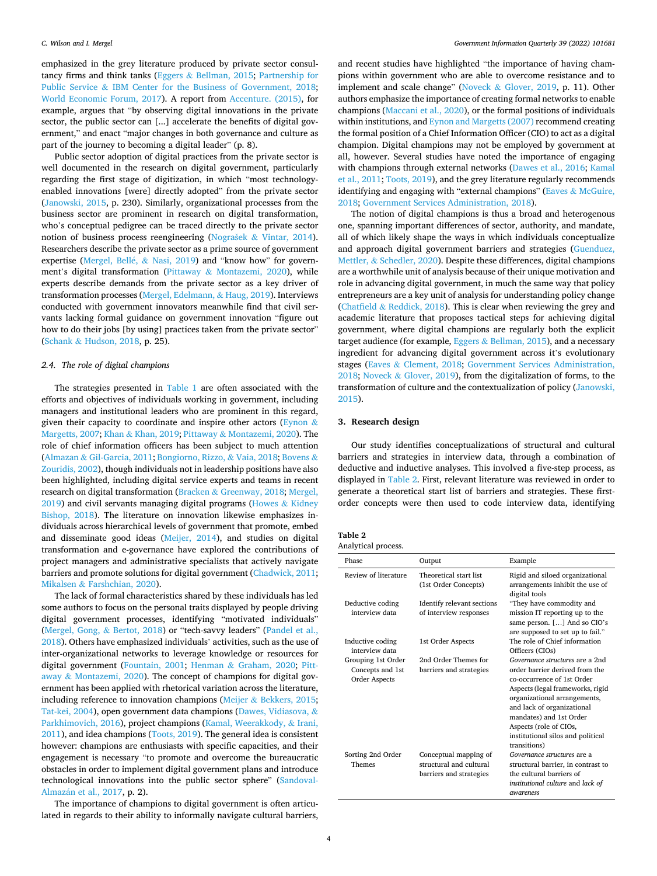emphasized in the grey literature produced by private sector consultancy firms and think tanks (Eggers & [Bellman, 2015;](#page-11-0) [Partnership for](#page-11-0)  Public Service & [IBM Center for the Business of Government, 2018](#page-11-0); [World Economic Forum, 2017\)](#page-12-0). A report from [Accenture. \(2015\)](#page-10-0), for example, argues that "by observing digital innovations in the private sector, the public sector can [...] accelerate the benefits of digital government," and enact "major changes in both governance and culture as part of the journey to becoming a digital leader" (p. 8).

Public sector adoption of digital practices from the private sector is well documented in the research on digital government, particularly regarding the first stage of digitization, in which "most technologyenabled innovations [were] directly adopted" from the private sector ([Janowski, 2015](#page-11-0), p. 230). Similarly, organizational processes from the business sector are prominent in research on digital transformation, who's conceptual pedigree can be traced directly to the private sector notion of business process reengineering (Nograšek & [Vintar, 2014](#page-11-0)). Researchers describe the private sector as a prime source of government expertise ([Mergel, Bell](#page-11-0)é,  $\&$  Nasi, 2019) and "know how" for government's digital transformation (Pittaway & [Montazemi, 2020\)](#page-11-0), while experts describe demands from the private sector as a key driver of transformation processes [\(Mergel, Edelmann,](#page-11-0) & Haug, 2019). Interviews conducted with government innovators meanwhile find that civil servants lacking formal guidance on government innovation "figure out how to do their jobs [by using] practices taken from the private sector" (Schank & [Hudson, 2018](#page-11-0), p. 25).

### *2.4. The role of digital champions*

The strategies presented in [Table 1](#page-2-0) are often associated with the efforts and objectives of individuals working in government, including managers and institutional leaders who are prominent in this regard, given their capacity to coordinate and inspire other actors ([Eynon](#page-11-0)  $\&$ [Margetts, 2007](#page-11-0); Khan & [Khan, 2019](#page-11-0); Pittaway & [Montazemi, 2020](#page-11-0)). The role of chief information officers has been subject to much attention (Almazan & [Gil-Garcia, 2011; Bongiorno, Rizzo,](#page-10-0) & Vaia, 2018; [Bovens](#page-11-0) & [Zouridis, 2002\)](#page-11-0), though individuals not in leadership positions have also been highlighted, including digital service experts and teams in recent research on digital transformation (Bracken & [Greenway, 2018; Mergel,](#page-11-0)  [2019\)](#page-11-0) and civil servants managing digital programs ([Howes](#page-11-0) & Kidney [Bishop, 2018](#page-11-0)). The literature on innovation likewise emphasizes individuals across hierarchical levels of government that promote, embed and disseminate good ideas ([Meijer, 2014](#page-11-0)), and studies on digital transformation and e-governance have explored the contributions of project managers and administrative specialists that actively navigate barriers and promote solutions for digital government ([Chadwick, 2011](#page-11-0); Mikalsen & [Farshchian, 2020](#page-11-0)).

The lack of formal characteristics shared by these individuals has led some authors to focus on the personal traits displayed by people driving digital government processes, identifying "motivated individuals" ([Mergel, Gong,](#page-11-0) & Bertot, 2018) or "tech-savvy leaders" ([Pandel et al.,](#page-11-0)  [2018\)](#page-11-0). Others have emphasized individuals' activities, such as the use of inter-organizational networks to leverage knowledge or resources for digital government [\(Fountain, 2001;](#page-11-0) Henman & [Graham, 2020;](#page-11-0) [Pitt](#page-11-0)away & [Montazemi, 2020](#page-11-0)). The concept of champions for digital government has been applied with rhetorical variation across the literature, including reference to innovation champions (Meijer & [Bekkers, 2015](#page-11-0); [Tat-kei, 2004\)](#page-12-0), open government data champions [\(Dawes, Vidiasova,](#page-11-0) & [Parkhimovich, 2016\)](#page-11-0), project champions [\(Kamal, Weerakkody,](#page-11-0) & Irani, [2011\)](#page-11-0), and idea champions [\(Toots, 2019\)](#page-12-0). The general idea is consistent however: champions are enthusiasts with specific capacities, and their engagement is necessary "to promote and overcome the bureaucratic obstacles in order to implement digital government plans and introduce technological innovations into the public sector sphere" ([Sandoval](#page-11-0)Almazán [et al., 2017](#page-11-0), p. 2).

The importance of champions to digital government is often articulated in regards to their ability to informally navigate cultural barriers, and recent studies have highlighted "the importance of having champions within government who are able to overcome resistance and to implement and scale change" (Noveck & [Glover, 2019,](#page-11-0) p. 11). Other authors emphasize the importance of creating formal networks to enable champions ([Maccani et al., 2020\)](#page-11-0), or the formal positions of individuals within institutions, and [Eynon and Margetts \(2007\)](#page-11-0) recommend creating the formal position of a Chief Information Officer (CIO) to act as a digital champion. Digital champions may not be employed by government at all, however. Several studies have noted the importance of engaging with champions through external networks ([Dawes et al., 2016; Kamal](#page-11-0)  [et al., 2011;](#page-11-0) [Toots, 2019\)](#page-12-0), and the grey literature regularly recommends identifying and engaging with "external champions" (Eaves & [McGuire,](#page-11-0)  [2018; Government Services Administration, 2018\)](#page-11-0).

The notion of digital champions is thus a broad and heterogenous one, spanning important differences of sector, authority, and mandate, all of which likely shape the ways in which individuals conceptualize and approach digital government barriers and strategies [\(Guenduez,](#page-11-0)  Mettler, & [Schedler, 2020\)](#page-11-0). Despite these differences, digital champions are a worthwhile unit of analysis because of their unique motivation and role in advancing digital government, in much the same way that policy entrepreneurs are a key unit of analysis for understanding policy change (Chatfield  $& Reddick, 2018$  $& Reddick, 2018$ ). This is clear when reviewing the grey and academic literature that proposes tactical steps for achieving digital government, where digital champions are regularly both the explicit target audience (for example, Eggers  $&$  [Bellman, 2015\)](#page-11-0), and a necessary ingredient for advancing digital government across it's evolutionary stages (Eaves & [Clement, 2018;](#page-11-0) [Government Services Administration,](#page-11-0)  [2018;](#page-11-0) Noveck & [Glover, 2019\)](#page-11-0), from the digitalization of forms, to the transformation of culture and the contextualization of policy ([Janowski,](#page-11-0)  [2015\)](#page-11-0).

### **3. Research design**

Our study identifies conceptualizations of structural and cultural barriers and strategies in interview data, through a combination of deductive and inductive analyses. This involved a five-step process, as displayed in Table 2. First, relevant literature was reviewed in order to generate a theoretical start list of barriers and strategies. These firstorder concepts were then used to code interview data, identifying

| Table 2            |  |
|--------------------|--|
| Analytical process |  |

| Phase                                                   | Output                                                                      | Example                                                                                                                                                                                                                                                                                                     |
|---------------------------------------------------------|-----------------------------------------------------------------------------|-------------------------------------------------------------------------------------------------------------------------------------------------------------------------------------------------------------------------------------------------------------------------------------------------------------|
| Review of literature                                    | Theoretical start list<br>(1st Order Concepts)                              | Rigid and siloed organizational<br>arrangements inhibit the use of<br>digital tools                                                                                                                                                                                                                         |
| Deductive coding<br>interview data                      | Identify relevant sections<br>of interview responses                        | "They have commodity and<br>mission IT reporting up to the<br>same person. [] And so CIO's<br>are supposed to set up to fail."                                                                                                                                                                              |
| Inductive coding<br>interview data                      | 1st Order Aspects                                                           | The role of Chief information<br>Officers (CIOs)                                                                                                                                                                                                                                                            |
| Grouping 1st Order<br>Concepts and 1st<br>Order Aspects | 2nd Order Themes for<br>barriers and strategies                             | Governance structures are a 2nd<br>order barrier derived from the<br>co-occurrence of 1st Order<br>Aspects (legal frameworks, rigid<br>organizational arrangements,<br>and lack of organizational<br>mandates) and 1st Order<br>Aspects (role of CIOs,<br>institutional silos and political<br>transitions) |
| Sorting 2nd Order<br>Themes                             | Conceptual mapping of<br>structural and cultural<br>barriers and strategies | Governance structures are a<br>structural barrier, in contrast to<br>the cultural barriers of<br>institutional culture and lack of<br><i>awareness</i>                                                                                                                                                      |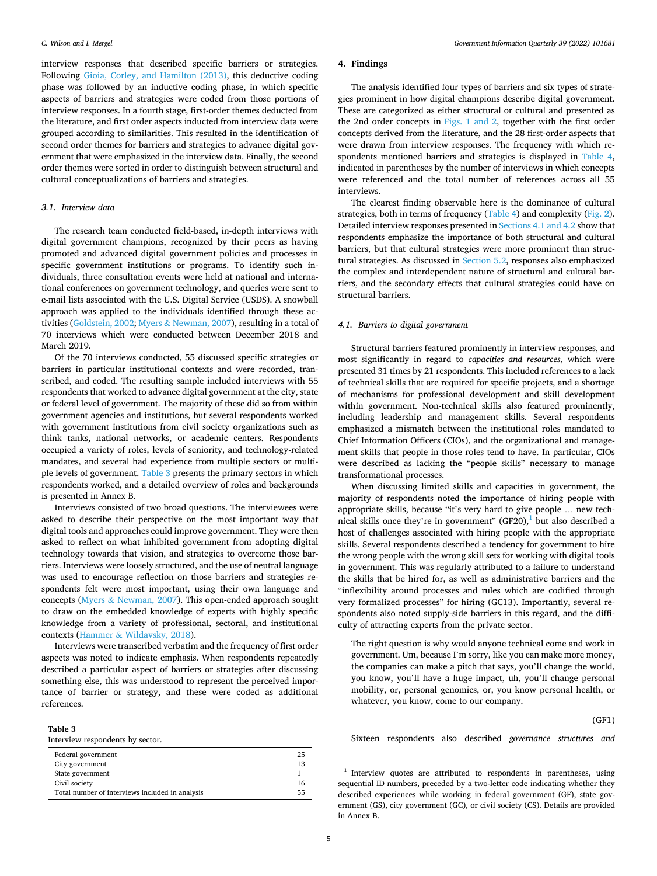interview responses that described specific barriers or strategies. Following [Gioia, Corley, and Hamilton \(2013\),](#page-11-0) this deductive coding phase was followed by an inductive coding phase, in which specific aspects of barriers and strategies were coded from those portions of interview responses. In a fourth stage, first-order themes deducted from the literature, and first order aspects inducted from interview data were grouped according to similarities. This resulted in the identification of second order themes for barriers and strategies to advance digital government that were emphasized in the interview data. Finally, the second order themes were sorted in order to distinguish between structural and cultural conceptualizations of barriers and strategies.

### *3.1. Interview data*

The research team conducted field-based, in-depth interviews with digital government champions, recognized by their peers as having promoted and advanced digital government policies and processes in specific government institutions or programs. To identify such individuals, three consultation events were held at national and international conferences on government technology, and queries were sent to e-mail lists associated with the U.S. Digital Service (USDS). A snowball approach was applied to the individuals identified through these activities [\(Goldstein, 2002;](#page-11-0) Myers & [Newman, 2007\)](#page-11-0), resulting in a total of 70 interviews which were conducted between December 2018 and March 2019.

Of the 70 interviews conducted, 55 discussed specific strategies or barriers in particular institutional contexts and were recorded, transcribed, and coded. The resulting sample included interviews with 55 respondents that worked to advance digital government at the city, state or federal level of government. The majority of these did so from within government agencies and institutions, but several respondents worked with government institutions from civil society organizations such as think tanks, national networks, or academic centers. Respondents occupied a variety of roles, levels of seniority, and technology-related mandates, and several had experience from multiple sectors or multiple levels of government. Table 3 presents the primary sectors in which respondents worked, and a detailed overview of roles and backgrounds is presented in Annex B.

Interviews consisted of two broad questions. The interviewees were asked to describe their perspective on the most important way that digital tools and approaches could improve government. They were then asked to reflect on what inhibited government from adopting digital technology towards that vision, and strategies to overcome those barriers. Interviews were loosely structured, and the use of neutral language was used to encourage reflection on those barriers and strategies respondents felt were most important, using their own language and concepts (Myers & [Newman, 2007\)](#page-11-0). This open-ended approach sought to draw on the embedded knowledge of experts with highly specific knowledge from a variety of professional, sectoral, and institutional contexts (Hammer & [Wildavsky, 2018\)](#page-11-0).

Interviews were transcribed verbatim and the frequency of first order aspects was noted to indicate emphasis. When respondents repeatedly described a particular aspect of barriers or strategies after discussing something else, this was understood to represent the perceived importance of barrier or strategy, and these were coded as additional references.

### **Table 3**

Interview respondents by sector.

| Federal government                              | 25 |
|-------------------------------------------------|----|
| City government                                 | 13 |
| State government                                |    |
| Civil society                                   | 16 |
| Total number of interviews included in analysis | 55 |

### **4. Findings**

The analysis identified four types of barriers and six types of strategies prominent in how digital champions describe digital government. These are categorized as either structural or cultural and presented as the 2nd order concepts in [Figs. 1 and 2,](#page-5-0) together with the first order concepts derived from the literature, and the 28 first-order aspects that were drawn from interview responses. The frequency with which respondents mentioned barriers and strategies is displayed in [Table 4](#page-6-0), indicated in parentheses by the number of interviews in which concepts were referenced and the total number of references across all 55 interviews.

The clearest finding observable here is the dominance of cultural strategies, both in terms of frequency [\(Table 4](#page-6-0)) and complexity ([Fig. 2](#page-6-0)). Detailed interview responses presented in Sections 4.1 and 4.2 show that respondents emphasize the importance of both structural and cultural barriers, but that cultural strategies were more prominent than structural strategies. As discussed in [Section 5.2](#page-9-0), responses also emphasized the complex and interdependent nature of structural and cultural barriers, and the secondary effects that cultural strategies could have on structural barriers.

### *4.1. Barriers to digital government*

Structural barriers featured prominently in interview responses, and most significantly in regard to *capacities and resources*, which were presented 31 times by 21 respondents. This included references to a lack of technical skills that are required for specific projects, and a shortage of mechanisms for professional development and skill development within government. Non-technical skills also featured prominently, including leadership and management skills. Several respondents emphasized a mismatch between the institutional roles mandated to Chief Information Officers (CIOs), and the organizational and management skills that people in those roles tend to have. In particular, CIOs were described as lacking the "people skills" necessary to manage transformational processes.

When discussing limited skills and capacities in government, the majority of respondents noted the importance of hiring people with appropriate skills, because "it's very hard to give people … new technical skills once they're in government"  $(GF20)$ , but also described a host of challenges associated with hiring people with the appropriate skills. Several respondents described a tendency for government to hire the wrong people with the wrong skill sets for working with digital tools in government. This was regularly attributed to a failure to understand the skills that be hired for, as well as administrative barriers and the "inflexibility around processes and rules which are codified through very formalized processes" for hiring (GC13). Importantly, several respondents also noted supply-side barriers in this regard, and the difficulty of attracting experts from the private sector.

The right question is why would anyone technical come and work in government. Um, because I'm sorry, like you can make more money, the companies can make a pitch that says, you'll change the world, you know, you'll have a huge impact, uh, you'll change personal mobility, or, personal genomics, or, you know personal health, or whatever, you know, come to our company.

(GF1)

Sixteen respondents also described *governance structures and* 

 $1$  Interview quotes are attributed to respondents in parentheses, using sequential ID numbers, preceded by a two-letter code indicating whether they described experiences while working in federal government (GF), state government (GS), city government (GC), or civil society (CS). Details are provided in Annex B.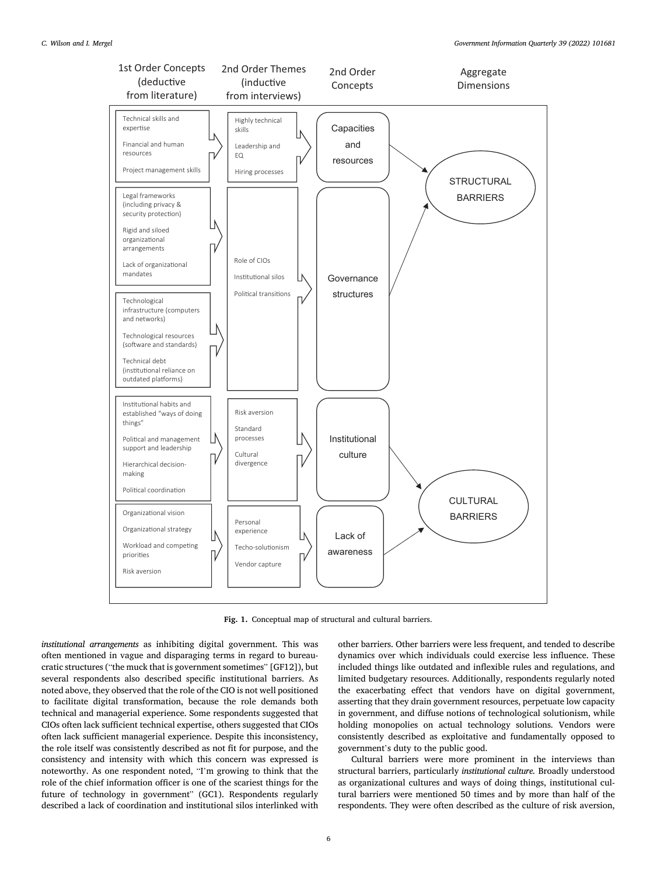<span id="page-5-0"></span>

**Fig. 1.** Conceptual map of structural and cultural barriers.

*institutional arrangements* as inhibiting digital government. This was often mentioned in vague and disparaging terms in regard to bureaucratic structures ("the muck that is government sometimes" [GF12]), but several respondents also described specific institutional barriers. As noted above, they observed that the role of the CIO is not well positioned to facilitate digital transformation, because the role demands both technical and managerial experience. Some respondents suggested that CIOs often lack sufficient technical expertise, others suggested that CIOs often lack sufficient managerial experience. Despite this inconsistency, the role itself was consistently described as not fit for purpose, and the consistency and intensity with which this concern was expressed is noteworthy. As one respondent noted, "I'm growing to think that the role of the chief information officer is one of the scariest things for the future of technology in government" (GC1). Respondents regularly described a lack of coordination and institutional silos interlinked with

other barriers. Other barriers were less frequent, and tended to describe dynamics over which individuals could exercise less influence. These included things like outdated and inflexible rules and regulations, and limited budgetary resources. Additionally, respondents regularly noted the exacerbating effect that vendors have on digital government, asserting that they drain government resources, perpetuate low capacity in government, and diffuse notions of technological solutionism, while holding monopolies on actual technology solutions. Vendors were consistently described as exploitative and fundamentally opposed to government's duty to the public good.

Cultural barriers were more prominent in the interviews than structural barriers, particularly *institutional culture.* Broadly understood as organizational cultures and ways of doing things, institutional cultural barriers were mentioned 50 times and by more than half of the respondents. They were often described as the culture of risk aversion,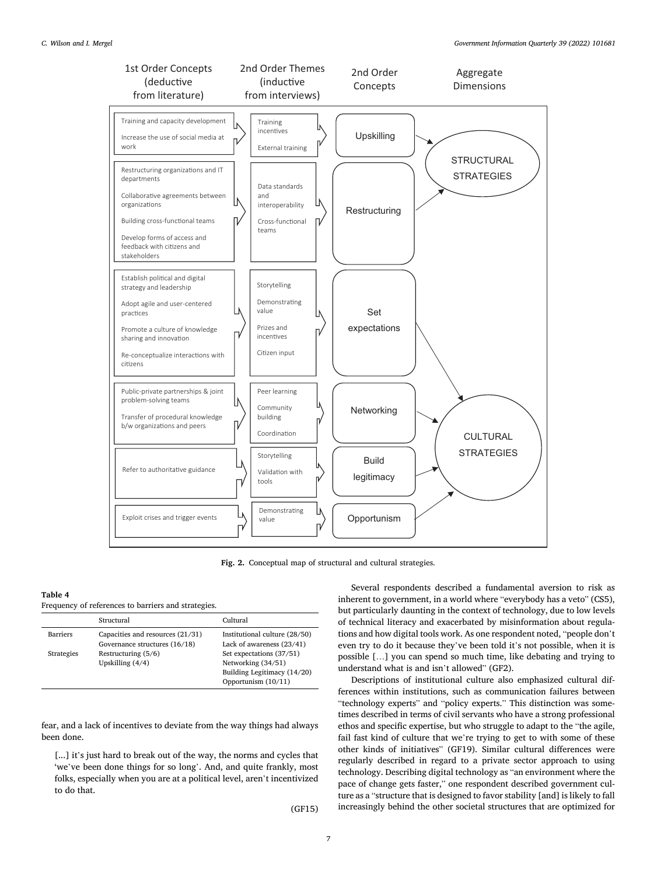<span id="page-6-0"></span>

**Fig. 2.** Conceptual map of structural and cultural strategies.

### **Table 4**

| Frequency of references to barriers and strategies. |  |  |  |
|-----------------------------------------------------|--|--|--|
|                                                     |  |  |  |

|                   | Structural                                                        | Cultural                                                   |
|-------------------|-------------------------------------------------------------------|------------------------------------------------------------|
| Barriers          | Capacities and resources (21/31)<br>Governance structures (16/18) | Institutional culture (28/50)<br>Lack of awareness (23/41) |
| <b>Strategies</b> | Restructuring $(5/6)$                                             | Set expectations (37/51)                                   |
|                   | Upskilling $(4/4)$                                                | Networking (34/51)                                         |
|                   |                                                                   | Building Legitimacy (14/20)                                |
|                   |                                                                   | Opportunism $(10/11)$                                      |

fear, and a lack of incentives to deviate from the way things had always been done.

[...] it's just hard to break out of the way, the norms and cycles that 'we've been done things for so long'. And, and quite frankly, most folks, especially when you are at a political level, aren't incentivized to do that.

(GF15)

Several respondents described a fundamental aversion to risk as inherent to government, in a world where "everybody has a veto" (CS5), but particularly daunting in the context of technology, due to low levels of technical literacy and exacerbated by misinformation about regulations and how digital tools work. As one respondent noted, "people don't even try to do it because they've been told it's not possible, when it is possible […] you can spend so much time, like debating and trying to understand what is and isn't allowed" (GF2).

Descriptions of institutional culture also emphasized cultural differences within institutions, such as communication failures between "technology experts" and "policy experts." This distinction was sometimes described in terms of civil servants who have a strong professional ethos and specific expertise, but who struggle to adapt to the "the agile, fail fast kind of culture that we're trying to get to with some of these other kinds of initiatives" (GF19). Similar cultural differences were regularly described in regard to a private sector approach to using technology. Describing digital technology as "an environment where the pace of change gets faster," one respondent described government culture as a "structure that is designed to favor stability [and] is likely to fall increasingly behind the other societal structures that are optimized for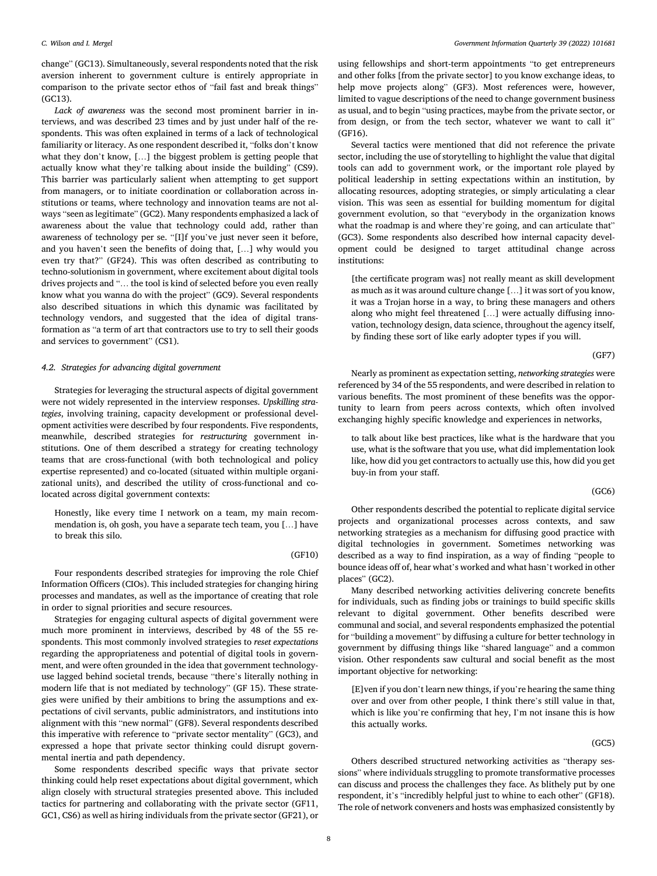change" (GC13). Simultaneously, several respondents noted that the risk aversion inherent to government culture is entirely appropriate in comparison to the private sector ethos of "fail fast and break things" (GC13).

*Lack of awareness* was the second most prominent barrier in interviews, and was described 23 times and by just under half of the respondents. This was often explained in terms of a lack of technological familiarity or literacy. As one respondent described it, "folks don't know what they don't know, […] the biggest problem is getting people that actually know what they're talking about inside the building" (CS9). This barrier was particularly salient when attempting to get support from managers, or to initiate coordination or collaboration across institutions or teams, where technology and innovation teams are not always "seen as legitimate" (GC2). Many respondents emphasized a lack of awareness about the value that technology could add, rather than awareness of technology per se. "[I]f you've just never seen it before, and you haven't seen the benefits of doing that, […] why would you even try that?" (GF24). This was often described as contributing to techno-solutionism in government, where excitement about digital tools drives projects and "… the tool is kind of selected before you even really know what you wanna do with the project" (GC9). Several respondents also described situations in which this dynamic was facilitated by technology vendors, and suggested that the idea of digital transformation as "a term of art that contractors use to try to sell their goods and services to government" (CS1).

### *4.2. Strategies for advancing digital government*

Strategies for leveraging the structural aspects of digital government were not widely represented in the interview responses. *Upskilling strategies*, involving training, capacity development or professional development activities were described by four respondents. Five respondents, meanwhile, described strategies for *restructuring* government institutions. One of them described a strategy for creating technology teams that are cross-functional (with both technological and policy expertise represented) and co-located (situated within multiple organizational units), and described the utility of cross-functional and colocated across digital government contexts:

Honestly, like every time I network on a team, my main recommendation is, oh gosh, you have a separate tech team, you […] have to break this silo.

(GF10)

Four respondents described strategies for improving the role Chief Information Officers (CIOs). This included strategies for changing hiring processes and mandates, as well as the importance of creating that role in order to signal priorities and secure resources.

Strategies for engaging cultural aspects of digital government were much more prominent in interviews, described by 48 of the 55 respondents. This most commonly involved strategies to *reset expectations*  regarding the appropriateness and potential of digital tools in government, and were often grounded in the idea that government technologyuse lagged behind societal trends, because "there's literally nothing in modern life that is not mediated by technology" (GF 15). These strategies were unified by their ambitions to bring the assumptions and expectations of civil servants, public administrators, and institutions into alignment with this "new normal" (GF8). Several respondents described this imperative with reference to "private sector mentality" (GC3), and expressed a hope that private sector thinking could disrupt governmental inertia and path dependency.

Some respondents described specific ways that private sector thinking could help reset expectations about digital government, which align closely with structural strategies presented above. This included tactics for partnering and collaborating with the private sector (GF11, GC1, CS6) as well as hiring individuals from the private sector (GF21), or

using fellowships and short-term appointments "to get entrepreneurs and other folks [from the private sector] to you know exchange ideas, to help move projects along" (GF3). Most references were, however, limited to vague descriptions of the need to change government business as usual, and to begin "using practices, maybe from the private sector, or from design, or from the tech sector, whatever we want to call it" (GF16).

Several tactics were mentioned that did not reference the private sector, including the use of storytelling to highlight the value that digital tools can add to government work, or the important role played by political leadership in setting expectations within an institution, by allocating resources, adopting strategies, or simply articulating a clear vision. This was seen as essential for building momentum for digital government evolution, so that "everybody in the organization knows what the roadmap is and where they're going, and can articulate that" (GC3). Some respondents also described how internal capacity development could be designed to target attitudinal change across institutions:

[the certificate program was] not really meant as skill development as much as it was around culture change […] it was sort of you know, it was a Trojan horse in a way, to bring these managers and others along who might feel threatened […] were actually diffusing innovation, technology design, data science, throughout the agency itself, by finding these sort of like early adopter types if you will.

(GF7)

Nearly as prominent as expectation setting, *networking strategies* were referenced by 34 of the 55 respondents, and were described in relation to various benefits. The most prominent of these benefits was the opportunity to learn from peers across contexts, which often involved exchanging highly specific knowledge and experiences in networks,

to talk about like best practices, like what is the hardware that you use, what is the software that you use, what did implementation look like, how did you get contractors to actually use this, how did you get buy-in from your staff.

(GC6)

Other respondents described the potential to replicate digital service projects and organizational processes across contexts, and saw networking strategies as a mechanism for diffusing good practice with digital technologies in government. Sometimes networking was described as a way to find inspiration, as a way of finding "people to bounce ideas off of, hear what's worked and what hasn't worked in other places" (GC2).

Many described networking activities delivering concrete benefits for individuals, such as finding jobs or trainings to build specific skills relevant to digital government. Other benefits described were communal and social, and several respondents emphasized the potential for "building a movement" by diffusing a culture for better technology in government by diffusing things like "shared language" and a common vision. Other respondents saw cultural and social benefit as the most important objective for networking:

[E]ven if you don't learn new things, if you're hearing the same thing over and over from other people, I think there's still value in that, which is like you're confirming that hey, I'm not insane this is how this actually works.

(GC5)

Others described structured networking activities as "therapy sessions" where individuals struggling to promote transformative processes can discuss and process the challenges they face. As blithely put by one respondent, it's "incredibly helpful just to whine to each other" (GF18). The role of network conveners and hosts was emphasized consistently by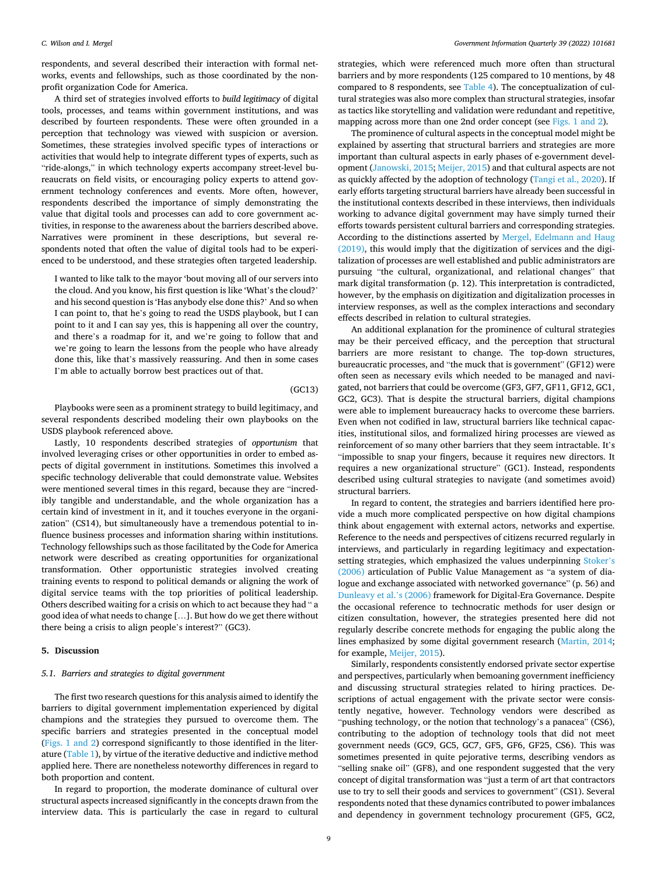respondents, and several described their interaction with formal networks, events and fellowships, such as those coordinated by the nonprofit organization Code for America.

A third set of strategies involved efforts to *build legitimacy* of digital tools, processes, and teams within government institutions, and was described by fourteen respondents. These were often grounded in a perception that technology was viewed with suspicion or aversion. Sometimes, these strategies involved specific types of interactions or activities that would help to integrate different types of experts, such as "ride-alongs," in which technology experts accompany street-level bureaucrats on field visits, or encouraging policy experts to attend government technology conferences and events. More often, however, respondents described the importance of simply demonstrating the value that digital tools and processes can add to core government activities, in response to the awareness about the barriers described above. Narratives were prominent in these descriptions, but several respondents noted that often the value of digital tools had to be experienced to be understood, and these strategies often targeted leadership.

I wanted to like talk to the mayor 'bout moving all of our servers into the cloud. And you know, his first question is like 'What's the cloud?' and his second question is 'Has anybody else done this?' And so when I can point to, that he's going to read the USDS playbook, but I can point to it and I can say yes, this is happening all over the country, and there's a roadmap for it, and we're going to follow that and we're going to learn the lessons from the people who have already done this, like that's massively reassuring. And then in some cases I'm able to actually borrow best practices out of that.

(GC13)

Playbooks were seen as a prominent strategy to build legitimacy, and several respondents described modeling their own playbooks on the USDS playbook referenced above.

Lastly, 10 respondents described strategies of *opportunism* that involved leveraging crises or other opportunities in order to embed aspects of digital government in institutions. Sometimes this involved a specific technology deliverable that could demonstrate value. Websites were mentioned several times in this regard, because they are "incredibly tangible and understandable, and the whole organization has a certain kind of investment in it, and it touches everyone in the organization" (CS14), but simultaneously have a tremendous potential to influence business processes and information sharing within institutions. Technology fellowships such as those facilitated by the Code for America network were described as creating opportunities for organizational transformation. Other opportunistic strategies involved creating training events to respond to political demands or aligning the work of digital service teams with the top priorities of political leadership. Others described waiting for a crisis on which to act because they had " a good idea of what needs to change […]. But how do we get there without there being a crisis to align people's interest?" (GC3).

### **5. Discussion**

### *5.1. Barriers and strategies to digital government*

The first two research questions for this analysis aimed to identify the barriers to digital government implementation experienced by digital champions and the strategies they pursued to overcome them. The specific barriers and strategies presented in the conceptual model ([Figs. 1 and 2\)](#page-5-0) correspond significantly to those identified in the literature ([Table 1](#page-2-0)), by virtue of the iterative deductive and indictive method applied here. There are nonetheless noteworthy differences in regard to both proportion and content.

In regard to proportion, the moderate dominance of cultural over structural aspects increased significantly in the concepts drawn from the interview data. This is particularly the case in regard to cultural strategies, which were referenced much more often than structural barriers and by more respondents (125 compared to 10 mentions, by 48 compared to 8 respondents, see [Table 4\)](#page-6-0). The conceptualization of cultural strategies was also more complex than structural strategies, insofar as tactics like storytelling and validation were redundant and repetitive, mapping across more than one 2nd order concept (see [Figs. 1 and 2\)](#page-5-0).

The prominence of cultural aspects in the conceptual model might be explained by asserting that structural barriers and strategies are more important than cultural aspects in early phases of e-government development [\(Janowski, 2015; Meijer, 2015\)](#page-11-0) and that cultural aspects are not as quickly affected by the adoption of technology ([Tangi et al., 2020](#page-12-0)). If early efforts targeting structural barriers have already been successful in the institutional contexts described in these interviews, then individuals working to advance digital government may have simply turned their efforts towards persistent cultural barriers and corresponding strategies. According to the distinctions asserted by [Mergel, Edelmann and Haug](#page-11-0)  [\(2019\),](#page-11-0) this would imply that the digitization of services and the digitalization of processes are well established and public administrators are pursuing "the cultural, organizational, and relational changes" that mark digital transformation (p. 12). This interpretation is contradicted, however, by the emphasis on digitization and digitalization processes in interview responses, as well as the complex interactions and secondary effects described in relation to cultural strategies.

An additional explanation for the prominence of cultural strategies may be their perceived efficacy, and the perception that structural barriers are more resistant to change. The top-down structures, bureaucratic processes, and "the muck that is government" (GF12) were often seen as necessary evils which needed to be managed and navigated, not barriers that could be overcome (GF3, GF7, GF11, GF12, GC1, GC2, GC3). That is despite the structural barriers, digital champions were able to implement bureaucracy hacks to overcome these barriers. Even when not codified in law, structural barriers like technical capacities, institutional silos, and formalized hiring processes are viewed as reinforcement of so many other barriers that they seem intractable. It's "impossible to snap your fingers, because it requires new directors. It requires a new organizational structure" (GC1). Instead, respondents described using cultural strategies to navigate (and sometimes avoid) structural barriers.

In regard to content, the strategies and barriers identified here provide a much more complicated perspective on how digital champions think about engagement with external actors, networks and expertise. Reference to the needs and perspectives of citizens recurred regularly in interviews, and particularly in regarding legitimacy and expectationsetting strategies, which emphasized the values underpinning [Stoker](#page-12-0)'s [\(2006\)](#page-12-0) articulation of Public Value Management as "a system of dialogue and exchange associated with networked governance" (p. 56) and [Dunleavy et al.](#page-11-0)'s (2006) framework for Digital-Era Governance. Despite the occasional reference to technocratic methods for user design or citizen consultation, however, the strategies presented here did not regularly describe concrete methods for engaging the public along the lines emphasized by some digital government research ([Martin, 2014](#page-11-0); for example, [Meijer, 2015](#page-11-0)).

Similarly, respondents consistently endorsed private sector expertise and perspectives, particularly when bemoaning government inefficiency and discussing structural strategies related to hiring practices. Descriptions of actual engagement with the private sector were consistently negative, however. Technology vendors were described as "pushing technology, or the notion that technology's a panacea" (CS6), contributing to the adoption of technology tools that did not meet government needs (GC9, GC5, GC7, GF5, GF6, GF25, CS6). This was sometimes presented in quite pejorative terms, describing vendors as "selling snake oil" (GF8), and one respondent suggested that the very concept of digital transformation was "just a term of art that contractors use to try to sell their goods and services to government" (CS1). Several respondents noted that these dynamics contributed to power imbalances and dependency in government technology procurement (GF5, GC2,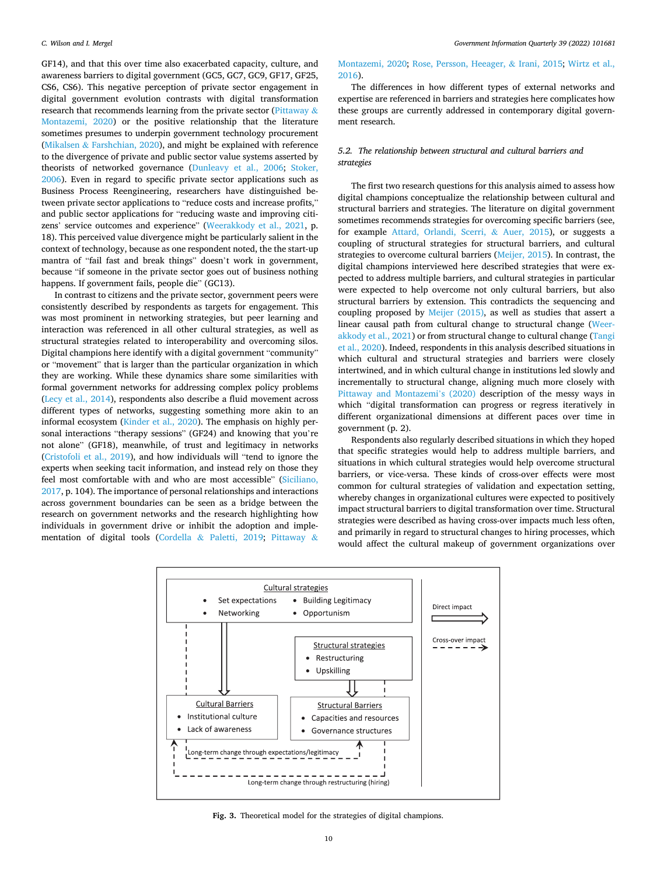<span id="page-9-0"></span>GF14), and that this over time also exacerbated capacity, culture, and awareness barriers to digital government (GC5, GC7, GC9, GF17, GF25, CS6, CS6). This negative perception of private sector engagement in digital government evolution contrasts with digital transformation research that recommends learning from the private sector [\(Pittaway](#page-11-0)  $\&$ [Montazemi, 2020](#page-11-0)) or the positive relationship that the literature sometimes presumes to underpin government technology procurement (Mikalsen & [Farshchian, 2020](#page-11-0)), and might be explained with reference to the divergence of private and public sector value systems asserted by theorists of networked governance [\(Dunleavy et al., 2006](#page-11-0); [Stoker,](#page-12-0)  [2006\)](#page-12-0). Even in regard to specific private sector applications such as Business Process Reengineering, researchers have distinguished between private sector applications to "reduce costs and increase profits," and public sector applications for "reducing waste and improving citizens' service outcomes and experience" [\(Weerakkody et al., 2021](#page-12-0), p. 18). This perceived value divergence might be particularly salient in the context of technology, because as one respondent noted, the the start-up mantra of "fail fast and break things" doesn't work in government, because "if someone in the private sector goes out of business nothing happens. If government fails, people die" (GC13).

In contrast to citizens and the private sector, government peers were consistently described by respondents as targets for engagement. This was most prominent in networking strategies, but peer learning and interaction was referenced in all other cultural strategies, as well as structural strategies related to interoperability and overcoming silos. Digital champions here identify with a digital government "community" or "movement" that is larger than the particular organization in which they are working. While these dynamics share some similarities with formal government networks for addressing complex policy problems ([Lecy et al., 2014](#page-11-0)), respondents also describe a fluid movement across different types of networks, suggesting something more akin to an informal ecosystem [\(Kinder et al., 2020](#page-11-0)). The emphasis on highly personal interactions "therapy sessions" (GF24) and knowing that you're not alone" (GF18), meanwhile, of trust and legitimacy in networks ([Cristofoli et al., 2019\)](#page-11-0), and how individuals will "tend to ignore the experts when seeking tacit information, and instead rely on those they feel most comfortable with and who are most accessible" [\(Siciliano,](#page-12-0)  [2017,](#page-12-0) p. 104). The importance of personal relationships and interactions across government boundaries can be seen as a bridge between the research on government networks and the research highlighting how individuals in government drive or inhibit the adoption and implementation of digital tools (Cordella & [Paletti, 2019;](#page-11-0) [Pittaway](#page-11-0) &

### [Montazemi, 2020;](#page-11-0) [Rose, Persson, Heeager,](#page-11-0) & Irani, 2015; [Wirtz et al.,](#page-12-0)  [2016\)](#page-12-0).

The differences in how different types of external networks and expertise are referenced in barriers and strategies here complicates how these groups are currently addressed in contemporary digital government research.

### *5.2. The relationship between structural and cultural barriers and strategies*

The first two research questions for this analysis aimed to assess how digital champions conceptualize the relationship between cultural and structural barriers and strategies. The literature on digital government sometimes recommends strategies for overcoming specific barriers (see, for example [Attard, Orlandi, Scerri,](#page-10-0) & Auer, 2015), or suggests a coupling of structural strategies for structural barriers, and cultural strategies to overcome cultural barriers [\(Meijer, 2015](#page-11-0)). In contrast, the digital champions interviewed here described strategies that were expected to address multiple barriers, and cultural strategies in particular were expected to help overcome not only cultural barriers, but also structural barriers by extension. This contradicts the sequencing and coupling proposed by [Meijer \(2015\),](#page-11-0) as well as studies that assert a linear causal path from cultural change to structural change ([Weer](#page-12-0)[akkody et al., 2021](#page-12-0)) or from structural change to cultural change ([Tangi](#page-12-0)  [et al., 2020\)](#page-12-0). Indeed, respondents in this analysis described situations in which cultural and structural strategies and barriers were closely intertwined, and in which cultural change in institutions led slowly and incrementally to structural change, aligning much more closely with [Pittaway and Montazemi](#page-11-0)'s (2020) description of the messy ways in which "digital transformation can progress or regress iteratively in different organizational dimensions at different paces over time in government (p. 2).

Respondents also regularly described situations in which they hoped that specific strategies would help to address multiple barriers, and situations in which cultural strategies would help overcome structural barriers, or vice-versa. These kinds of cross-over effects were most common for cultural strategies of validation and expectation setting, whereby changes in organizational cultures were expected to positively impact structural barriers to digital transformation over time. Structural strategies were described as having cross-over impacts much less often, and primarily in regard to structural changes to hiring processes, which would affect the cultural makeup of government organizations over



**Fig. 3.** Theoretical model for the strategies of digital champions.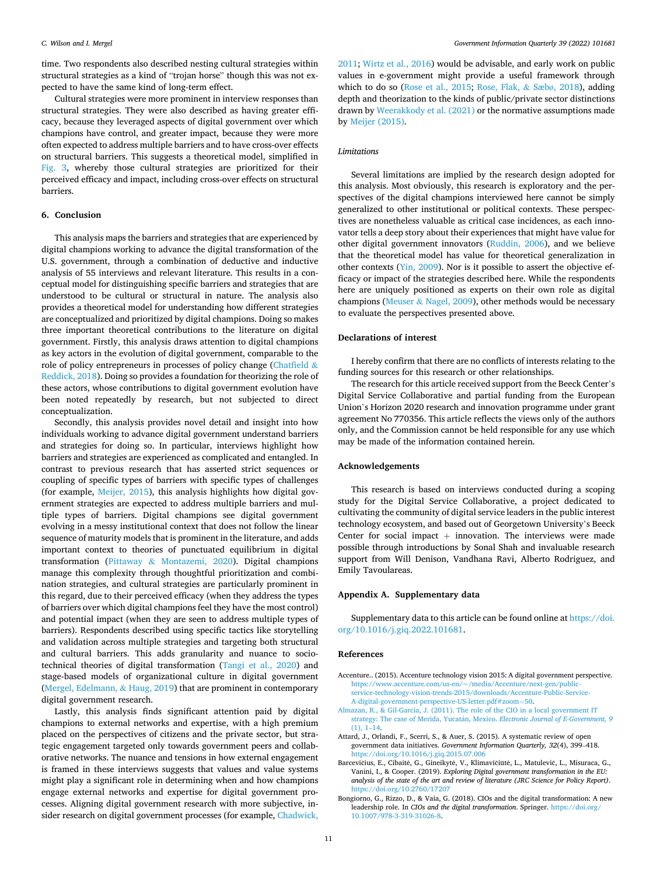<span id="page-10-0"></span>time. Two respondents also described nesting cultural strategies within structural strategies as a kind of "trojan horse" though this was not expected to have the same kind of long-term effect.

Cultural strategies were more prominent in interview responses than structural strategies. They were also described as having greater efficacy, because they leveraged aspects of digital government over which champions have control, and greater impact, because they were more often expected to address multiple barriers and to have cross-over effects on structural barriers. This suggests a theoretical model, simplified in [Fig. 3](#page-9-0), whereby those cultural strategies are prioritized for their perceived efficacy and impact, including cross-over effects on structural barriers.

### **6. Conclusion**

This analysis maps the barriers and strategies that are experienced by digital champions working to advance the digital transformation of the U.S. government, through a combination of deductive and inductive analysis of 55 interviews and relevant literature. This results in a conceptual model for distinguishing specific barriers and strategies that are understood to be cultural or structural in nature. The analysis also provides a theoretical model for understanding how different strategies are conceptualized and prioritized by digital champions. Doing so makes three important theoretical contributions to the literature on digital government. Firstly, this analysis draws attention to digital champions as key actors in the evolution of digital government, comparable to the role of policy entrepreneurs in processes of policy change ([Chatfield](#page-11-0)  $\&$ [Reddick, 2018\)](#page-11-0). Doing so provides a foundation for theorizing the role of these actors, whose contributions to digital government evolution have been noted repeatedly by research, but not subjected to direct conceptualization.

Secondly, this analysis provides novel detail and insight into how individuals working to advance digital government understand barriers and strategies for doing so. In particular, interviews highlight how barriers and strategies are experienced as complicated and entangled. In contrast to previous research that has asserted strict sequences or coupling of specific types of barriers with specific types of challenges (for example, [Meijer, 2015\)](#page-11-0), this analysis highlights how digital government strategies are expected to address multiple barriers and multiple types of barriers. Digital champions see digital government evolving in a messy institutional context that does not follow the linear sequence of maturity models that is prominent in the literature, and adds important context to theories of punctuated equilibrium in digital transformation (Pittaway & [Montazemi, 2020](#page-11-0)). Digital champions manage this complexity through thoughtful prioritization and combination strategies, and cultural strategies are particularly prominent in this regard, due to their perceived efficacy (when they address the types of barriers over which digital champions feel they have the most control) and potential impact (when they are seen to address multiple types of barriers). Respondents described using specific tactics like storytelling and validation across multiple strategies and targeting both structural and cultural barriers. This adds granularity and nuance to sociotechnical theories of digital transformation ([Tangi et al., 2020\)](#page-12-0) and stage-based models of organizational culture in digital government ([Mergel, Edelmann,](#page-11-0) & Haug, 2019) that are prominent in contemporary digital government research.

Lastly, this analysis finds significant attention paid by digital champions to external networks and expertise, with a high premium placed on the perspectives of citizens and the private sector, but strategic engagement targeted only towards government peers and collaborative networks. The nuance and tensions in how external engagement is framed in these interviews suggests that values and value systems might play a significant role in determining when and how champions engage external networks and expertise for digital government processes. Aligning digital government research with more subjective, insider research on digital government processes (for example, [Chadwick,](#page-11-0) 

[2011;](#page-11-0) [Wirtz et al., 2016\)](#page-12-0) would be advisable, and early work on public values in e-government might provide a useful framework through which to do so [\(Rose et al., 2015](#page-11-0); [Rose, Flak,](#page-11-0) & Sæbø, 2018), adding depth and theorization to the kinds of public/private sector distinctions drawn by [Weerakkody et al. \(2021\)](#page-12-0) or the normative assumptions made by [Meijer \(2015\).](#page-11-0)

### *Limitations*

Several limitations are implied by the research design adopted for this analysis. Most obviously, this research is exploratory and the perspectives of the digital champions interviewed here cannot be simply generalized to other institutional or political contexts. These perspectives are nonetheless valuable as critical case incidences, as each innovator tells a deep story about their experiences that might have value for other digital government innovators [\(Ruddin, 2006\)](#page-11-0), and we believe that the theoretical model has value for theoretical generalization in other contexts ([Yin, 2009](#page-12-0)). Nor is it possible to assert the objective efficacy or impact of the strategies described here. While the respondents here are uniquely positioned as experts on their own role as digital champions (Meuser & [Nagel, 2009\)](#page-11-0), other methods would be necessary to evaluate the perspectives presented above.

### **Declarations of interest**

I hereby confirm that there are no conflicts of interests relating to the funding sources for this research or other relationships.

The research for this article received support from the Beeck Center's Digital Service Collaborative and partial funding from the European Union's Horizon 2020 research and innovation programme under grant agreement No 770356. This article reflects the views only of the authors only, and the Commission cannot be held responsible for any use which may be made of the information contained herein.

### **Acknowledgements**

This research is based on interviews conducted during a scoping study for the Digital Service Collaborative, a project dedicated to cultivating the community of digital service leaders in the public interest technology ecosystem, and based out of Georgetown University's Beeck Center for social impact  $+$  innovation. The interviews were made possible through introductions by Sonal Shah and invaluable research support from Will Denison, Vandhana Ravi, Alberto Rodriguez, and Emily Tavoulareas.

### **Appendix A. Supplementary data**

Supplementary data to this article can be found online at [https://doi.](https://doi.org/10.1016/j.giq.2022.101681)  [org/10.1016/j.giq.2022.101681](https://doi.org/10.1016/j.giq.2022.101681).

### **References**

- Accenture.. (2015). Accenture technology vision 2015: A digital government perspective. [https://www.accenture.com/us-en/~/media/Accenture/next-gen/public](https://www.accenture.com/us-en/~/media/Accenture/next-gen/public-service-technology-vision-trends-2015/downloads/Accenture-Public-Service-A-digital-government-perspective-US-letter.pdf#zoom=50)[service-technology-vision-trends-2015/downloads/Accenture-Public-Service-](https://www.accenture.com/us-en/~/media/Accenture/next-gen/public-service-technology-vision-trends-2015/downloads/Accenture-Public-Service-A-digital-government-perspective-US-letter.pdf#zoom=50)
- [A-digital-government-perspective-US-letter.pdf#zoom](https://www.accenture.com/us-en/~/media/Accenture/next-gen/public-service-technology-vision-trends-2015/downloads/Accenture-Public-Service-A-digital-government-perspective-US-letter.pdf#zoom=50)=50. [Almazan, R., & Gil-Garcia, J. \(2011\). The role of the CIO in a local government IT](http://refhub.elsevier.com/S0740-624X(22)00014-4/rf0010)
- strategy: The case of Merida, Yucatán, Mexico. *Electronic Journal of E-Government*, 9 [\(1\), 1](http://refhub.elsevier.com/S0740-624X(22)00014-4/rf0010)–14.
- Attard, J., Orlandi, F., Scerri, S., & Auer, S. (2015). A systematic review of open government data initiatives. *Government Information Quarterly, 32*(4), 399–418. <https://doi.org/10.1016/j.giq.2015.07.006>
- Barcevičius, E., Cibaitė, G., Gineikytė, V., Klimavičiūtė, L., Matulevič, L., Misuraca, G., Vanini, I., & Cooper. (2019). *Exploring Digital government transformation in the EU: analysis of the state of the art and review of literature (JRC Science for Policy Report)*. <https://doi.org/10.2760/17207>
- Bongiorno, G., Rizzo, D., & Vaia, G. (2018). CIOs and the digital transformation: A new leadership role. In *CIOs and the digital transformation*. Springer. [https://doi.org/](https://doi.org/10.1007/978-3-319-31026-8) [10.1007/978-3-319-31026-8.](https://doi.org/10.1007/978-3-319-31026-8)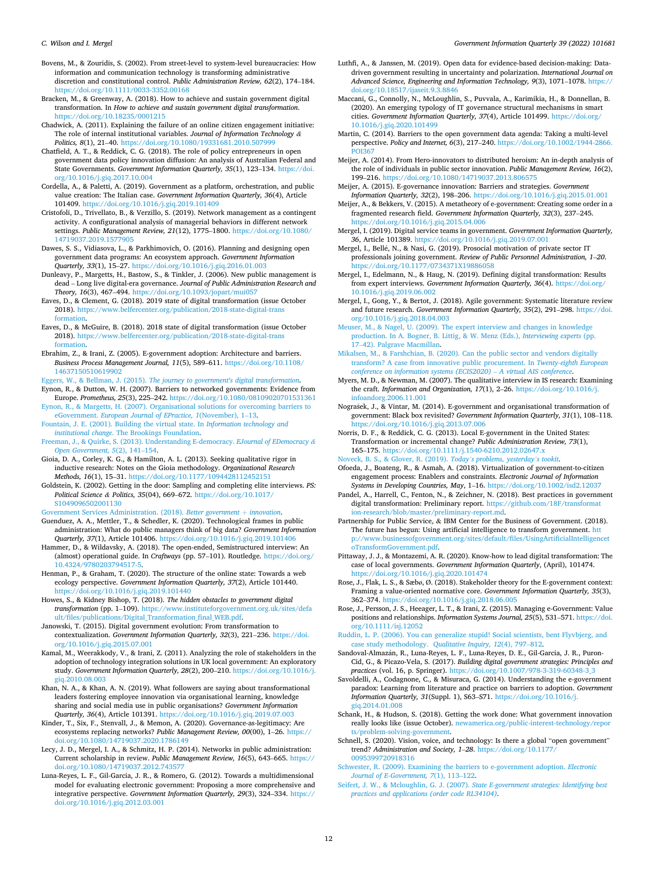<span id="page-11-0"></span>Bovens, M., & Zouridis, S. (2002). From street-level to system-level bureaucracies: How information and communication technology is transforming administrative discretion and constitutional control. *Public Administration Review, 62*(2), 174–184. <https://doi.org/10.1111/0033-3352.00168>

Bracken, M., & Greenway, A. (2018). How to achieve and sustain government digital transformation. In *How to achieve and sustain government digital transformation*. s://doi.org/10.18235/0001215

Chadwick, A. (2011). Explaining the failure of an online citizen engagement initiative: The role of internal institutional variables. *Journal of Information Technology & Politics, 8*(1), 21–40. <https://doi.org/10.1080/19331681.2010.507999>

Chatfield, A. T., & Reddick, C. G. (2018). The role of policy entrepreneurs in open government data policy innovation diffusion: An analysis of Australian Federal and State Governments. *Government Information Quarterly, 35*(1), 123–134. [https://doi.](https://doi.org/10.1016/j.giq.2017.10.004) [org/10.1016/j.giq.2017.10.004](https://doi.org/10.1016/j.giq.2017.10.004) 

Cordella, A., & Paletti, A. (2019). Government as a platform, orchestration, and public value creation: The Italian case. *Government Information Quarterly, 36*(4), Article 101409. <https://doi.org/10.1016/j.giq.2019.101409>

Cristofoli, D., Trivellato, B., & Verzillo, S. (2019). Network management as a contingent activity. A configurational analysis of managerial behaviors in different network settings. *Public Management Review, 21*(12), 1775–1800. [https://doi.org/10.1080/](https://doi.org/10.1080/14719037.2019.1577905)  14719037.2019.157

Dawes, S. S., Vidiasova, L., & Parkhimovich, O. (2016). Planning and designing open government data programs: An ecosystem approach. *Government Information Quarterly, 33*(1), 15–27. <https://doi.org/10.1016/j.giq.2016.01.003>

Dunleavy, P., Margetts, H., Bastow, S., & Tinkler, J. (2006). New public management is dead – Long live digital-era governance. *Journal of Public Administration Research and Theory, 16*(3), 467–494. https://doi.org/10.1093/

Eaves, D., & Clement, G. (2018). 2019 state of digital transformation (issue October 2018). [https://www.belfercenter.org/publication/2018-state-digital-trans](https://www.belfercenter.org/publication/2018-state-digital-transformation) [formation](https://www.belfercenter.org/publication/2018-state-digital-transformation).

Eaves, D., & McGuire, B. (2018). 2018 state of digital transformation (issue October 2018). [https://www.belfercenter.org/publication/2018-state-digital-trans](https://www.belfercenter.org/publication/2018-state-digital-transformation) [formation](https://www.belfercenter.org/publication/2018-state-digital-transformation).

Ebrahim, Z., & Irani, Z. (2005). E-government adoption: Architecture and barriers. *Business Process Management Journal, 11*(5), 589–611. [https://doi.org/10.1108/](https://doi.org/10.1108/14637150510619902)  [14637150510619902](https://doi.org/10.1108/14637150510619902) 

Eggers, W., & Bellman, J. (2015). *[The journey to government's digital transformation](http://refhub.elsevier.com/S0740-624X(22)00014-4/rf0085)*. Eynon, R., & Dutton, W. H. (2007). Barriers to networked governments: Evidence from

Europe. *Prometheus, 25*(3), 225–242.<https://doi.org/10.1080/08109020701531361> [Eynon, R., & Margetts, H. \(2007\). Organisational solutions for overcoming barriers to](http://refhub.elsevier.com/S0740-624X(22)00014-4/rf0095) eGovernment. *[European Journal of EPractice, 1](http://refhub.elsevier.com/S0740-624X(22)00014-4/rf0095)*(November), 1–13.

[Fountain, J. E. \(2001\). Building the virtual state. In](http://refhub.elsevier.com/S0740-624X(22)00014-4/rf0100) *Information technology and institutional change*[. The Brookings Foundation.](http://refhub.elsevier.com/S0740-624X(22)00014-4/rf0100)

[Freeman, J., & Quirke, S. \(2013\). Understanding E-democracy.](http://refhub.elsevier.com/S0740-624X(22)00014-4/rf0105) *EJournal of EDemocracy & [Open Government, 5](http://refhub.elsevier.com/S0740-624X(22)00014-4/rf0105)*(2), 141–154.

Gioia, D. A., Corley, K. G., & Hamilton, A. L. (2013). Seeking qualitative rigor in inductive research: Notes on the Gioia methodology. *Organizational Research Methods, 16*(1), 15–31. <https://doi.org/10.1177/1094428112452151>

Goldstein, K. (2002). Getting in the door: Sampling and completing elite interviews. *PS: Political Science & Politics, 35*(04), 669–672. [https://doi.org/10.1017/](https://doi.org/10.1017/S1049096502001130) [S1049096502001130](https://doi.org/10.1017/S1049096502001130)

[Government Services Administration. \(2018\).](http://refhub.elsevier.com/S0740-624X(22)00014-4/rf0120) *Better government* + *innovation*.

Guenduez, A. A., Mettler, T., & Schedler, K. (2020). Technological frames in public administration: What do public managers think of big data? *Government Information Quarterly, 37*(1), Article 101406. <https://doi.org/10.1016/j.giq.2019.101406>

Hammer, D., & Wildavsky, A. (2018). The open-ended, Semistructured interview: An (almost) operational guide. In *Craftways* (pp. 57–101). Routledge. [https://doi.org/](https://doi.org/10.4324/9780203794517-5)  [10.4324/9780203794517-5](https://doi.org/10.4324/9780203794517-5).

Henman, P., & Graham, T. (2020). The structure of the online state: Towards a web ecology perspective. *Government Information Quarterly, 37*(2), Article 101440. <https://doi.org/10.1016/j.giq.2019.101440>

Howes, S., & Kidney Bishop, T. (2018). *The hidden obstacles to government digital transformation* (pp. 1–109). [https://www.instituteforgovernment.org.uk/sites/defa](https://www.instituteforgovernment.org.uk/sites/default/files/publications/Digital_Transformation_final_WEB.pdf)  [ult/files/publications/Digital\\_Transformation\\_final\\_WEB.pdf.](https://www.instituteforgovernment.org.uk/sites/default/files/publications/Digital_Transformation_final_WEB.pdf)

Janowski, T. (2015). Digital government evolution: From transformation to contextualization. *Government Information Quarterly, 32*(3), 221–236. [https://doi.](https://doi.org/10.1016/j.giq.2015.07.001)  [org/10.1016/j.giq.2015.07.001](https://doi.org/10.1016/j.giq.2015.07.001) 

Kamal, M., Weerakkody, V., & Irani, Z. (2011). Analyzing the role of stakeholders in the adoption of technology integration solutions in UK local government: An exploratory study. *Government Information Quarterly, 28*(2), 200–210. [https://doi.org/10.1016/j.](https://doi.org/10.1016/j.giq.2010.08.003)  [giq.2010.08.003](https://doi.org/10.1016/j.giq.2010.08.003) 

Khan, N. A., & Khan, A. N. (2019). What followers are saying about transformational leaders fostering employee innovation via organisational learning, knowledge sharing and social media use in public organisations? *Government Information Quarterly, 36*(4), Article 101391. <https://doi.org/10.1016/j.giq.2019.07.003>

Kinder, T., Six, F., Stenvall, J., & Memon, A. (2020). Governance-as-legitimacy: Are ecosystems replacing networks? *Public Management Review, 00*(00), 1–26. [https://](https://doi.org/10.1080/14719037.2020.1786149)  [doi.org/10.1080/14719037.2020.1786149](https://doi.org/10.1080/14719037.2020.1786149) 

Lecy, J. D., Mergel, I. A., & Schmitz, H. P. (2014). Networks in public administration: Current scholarship in review. *Public Management Review, 16*(5), 643–665. [https://](https://doi.org/10.1080/14719037.2012.743577) [doi.org/10.1080/14719037.2012.743577](https://doi.org/10.1080/14719037.2012.743577)

Luna-Reyes, L. F., Gil-Garcia, J. R., & Romero, G. (2012). Towards a multidimensional model for evaluating electronic government: Proposing a more comprehensive and integrative perspective. *Government Information Quarterly, 29*(3), 324–334. [https://](https://doi.org/10.1016/j.giq.2012.03.001)  [doi.org/10.1016/j.giq.2012.03.001](https://doi.org/10.1016/j.giq.2012.03.001)

Luthfi, A., & Janssen, M. (2019). Open data for evidence-based decision-making: Datadriven government resulting in uncertainty and polarization. *International Journal on Advanced Science, Engineering and Information Technology, 9*(3), 1071–1078. [https://](https://doi.org/10.18517/ijaseit.9.3.8846)  [doi.org/10.18517/ijaseit.9.3.8846](https://doi.org/10.18517/ijaseit.9.3.8846) 

Maccani, G., Connolly, N., McLoughlin, S., Puvvala, A., Karimikia, H., & Donnellan, B. (2020). An emerging typology of IT governance structural mechanisms in smart cities. *Government Information Quarterly, 37*(4), Article 101499. [https://doi.org/](https://doi.org/10.1016/j.giq.2020.101499)  [10.1016/j.giq.2020.101499](https://doi.org/10.1016/j.giq.2020.101499) 

Martin, C. (2014). Barriers to the open government data agenda: Taking a multi-level perspective. *Policy and Internet, 6*(3), 217–240. [https://doi.org/10.1002/1944-2866.](https://doi.org/10.1002/1944-2866.POI367)  [POI367](https://doi.org/10.1002/1944-2866.POI367) 

Meijer, A. (2014). From Hero-innovators to distributed heroism: An in-depth analysis of the role of individuals in public sector innovation. *Public Management Review, 16*(2), 199–216. <https://doi.org/10.1080/14719037.2013.806575>

Meijer, A. (2015). E-governance innovation: Barriers and strategies. *Government Information Quarterly, 32*(2), 198–206. <https://doi.org/10.1016/j.giq.2015.01.001>

Meijer, A., & Bekkers, V. (2015). A metatheory of e-government: Creating some order in a fragmented research field. *Government Information Quarterly, 32*(3), 237–245. //doi.org/10.1016/j.giq.2015.04.006

Mergel, I. (2019). Digital service teams in government. *Government Information Quarterly, 36*, Article 101389. <https://doi.org/10.1016/j.giq.2019.07.001>

Mergel, I., Bellé, N., & Nasi, G. (2019). Prosocial motivation of private sector IT professionals joining government. *Review of Public Personnel Administration, 1*–*20*. <https://doi.org/10.1177/0734371X19886058>

Mergel, I., Edelmann, N., & Haug, N. (2019). Defining digital transformation: Results from expert interviews. *Government Information Quarterly, 36*(4). [https://doi.org/](https://doi.org/10.1016/j.giq.2019.06.002) [10.1016/j.giq.2019.06.002](https://doi.org/10.1016/j.giq.2019.06.002)

Mergel, I., Gong, Y., & Bertot, J. (2018). Agile government: Systematic literature review and future research. *Government Information Quarterly, 35*(2), 291–298. [https://doi.](https://doi.org/10.1016/j.giq.2018.04.003)  [org/10.1016/j.giq.2018.04.003](https://doi.org/10.1016/j.giq.2018.04.003) 

[Meuser, M., & Nagel, U. \(2009\). The expert interview and changes in knowledge](http://refhub.elsevier.com/S0740-624X(22)00014-4/rf0225) [production. In A. Bogner, B. Littig, & W. Menz \(Eds.\),](http://refhub.elsevier.com/S0740-624X(22)00014-4/rf0225) *Interviewing experts* (pp. 17–[42\). Palgrave Macmillan.](http://refhub.elsevier.com/S0740-624X(22)00014-4/rf0225)

[Mikalsen, M., & Farshchian, B. \(2020\). Can the public sector and vendors digitally](http://refhub.elsevier.com/S0740-624X(22)00014-4/rf0230) [transform? A case from innovative public procurement. In](http://refhub.elsevier.com/S0740-624X(22)00014-4/rf0230) *Twenty-eighth European [conference on information systems \(ECIS2020\)](http://refhub.elsevier.com/S0740-624X(22)00014-4/rf0230)* – *A virtual AIS conference*.

Myers, M. D., & Newman, M. (2007). The qualitative interview in IS research: Examining the craft. *Information and Organization, 17*(1), 2–26. [https://doi.org/10.1016/j.](https://doi.org/10.1016/j.infoandorg.2006.11.001) [infoandorg.2006.11.001](https://doi.org/10.1016/j.infoandorg.2006.11.001)

Nograšek, J., & Vintar, M. (2014). E-government and organisational transformation of government: Black box revisited? *Government Information Quarterly, 31*(1), 108–118. <https://doi.org/10.1016/j.giq.2013.07.006>

Norris, D. F., & Reddick, C. G. (2013). Local E-government in the United States: Transformation or incremental change? *Public Administration Review, 73*(1), 165–175. <https://doi.org/10.1111/j.1540-6210.2012.02647.x> [Noveck, B. S., & Glover, R. \(2019\).](http://refhub.elsevier.com/S0740-624X(22)00014-4/rf0250) *Today's problems, yesterday's tookit*.

Ofoeda, J., Boateng, R., & Asmah, A. (2018). Virtualization of government-to-citizen engagement process: Enablers and constraints. *Electronic Journal of Information Systems in Developing Countries, May*, 1–16.<https://doi.org/10.1002/isd2.12037>

Pandel, A., Harrell, C., Fenton, N., & Zeichner, N. (2018). Best practices in government digital transformation: Preliminary report. [https://github.com/18F/transformat](https://github.com/18F/transformation-research/blob/master/preliminary-report.md) [ion-research/blob/master/preliminary-report.md](https://github.com/18F/transformation-research/blob/master/preliminary-report.md).

Partnership for Public Service, & IBM Center for the Business of Government. (2018). The future has begun: Using artificial intelligence to transform government. [htt](http://www.businessofgovernment.org/sites/default/files/UsingArtificialIntelligencetoTransformGovernment.pdf) [p://www.businessofgovernment.org/sites/default/files/UsingArtificialIntelligencet](http://www.businessofgovernment.org/sites/default/files/UsingArtificialIntelligencetoTransformGovernment.pdf)  [oTransformGovernment.pdf](http://www.businessofgovernment.org/sites/default/files/UsingArtificialIntelligencetoTransformGovernment.pdf).

Pittaway, J. J., & Montazemi, A. R. (2020). Know-how to lead digital transformation: The case of local governments. *Government Information Quarterly*, (April), 101474. <https://doi.org/10.1016/j.giq.2020.101474>

Rose, J., Flak, L. S., & Sæbø, Ø. (2018). Stakeholder theory for the E-government context: Framing a value-oriented normative core. *Government Information Quarterly, 35*(3), 362–374. <https://doi.org/10.1016/j.giq.2018.06.005>

Rose, J., Persson, J. S., Heeager, L. T., & Irani, Z. (2015). Managing e-Government: Value positions and relationships. *Information Systems Journal, 25*(5), 531–571. [https://doi.](https://doi.org/10.1111/isj.12052)  [org/10.1111/isj.12052](https://doi.org/10.1111/isj.12052) 

[Ruddin, L. P. \(2006\). You can generalize stupid! Social scientists, bent Flyvbjerg, and](http://refhub.elsevier.com/S0740-624X(22)00014-4/rf0285)  [case study methodology.](http://refhub.elsevier.com/S0740-624X(22)00014-4/rf0285) *Qualitative Inquiry, 12*(4), 797–812.

Sandoval-Almazán, R., Luna-Reyes, L. F., Luna-Reyes, D. E., Gil-Garcia, J. R., Puron-Cid, G., & Picazo-Vela, S. (2017). *Building digital government strategies: Principles and practices* (vol. 16, p. Springer). [https://doi.org/10.1007/978-3-319-60348-3\\_3](https://doi.org/10.1007/978-3-319-60348-3_3) 

Savoldelli, A., Codagnone, C., & Misuraca, G. (2014). Understanding the e-government paradox: Learning from literature and practice on barriers to adoption. *Government Information Quarterly, 31*(Suppl. 1), S63–S71. [https://doi.org/10.1016/j.](https://doi.org/10.1016/j.giq.2014.01.008) [giq.2014.01.008](https://doi.org/10.1016/j.giq.2014.01.008) 

Schank, H., & Hudson, S. (2018). Getting the work done: What government innovation really looks like (issue October). newamerica.org/public-interest-technology/rep [ts/problem-solving-government.](http://newamerica.org/public-interest-technology/reports/problem-solving-government)

Schnell, S. (2020). Vision, voice, and technology: Is there a global "open government" trend? *Administration and Society, 1*–*28*. [https://doi.org/10.1177/](https://doi.org/10.1177/0095399720918316)  [0095399720918316](https://doi.org/10.1177/0095399720918316) 

[Schwester, R. \(2009\). Examining the barriers to e-government adoption.](http://refhub.elsevier.com/S0740-624X(22)00014-4/rf0310) *Electronic [Journal of E-Government, 7](http://refhub.elsevier.com/S0740-624X(22)00014-4/rf0310)*(1), 113–122.

Seifert, J. W., & Mcloughlin, G. J. (2007). *[State E-government strategies: Identifying best](http://refhub.elsevier.com/S0740-624X(22)00014-4/rf0315)  [practices and applications \(order code RL34104\)](http://refhub.elsevier.com/S0740-624X(22)00014-4/rf0315)*.